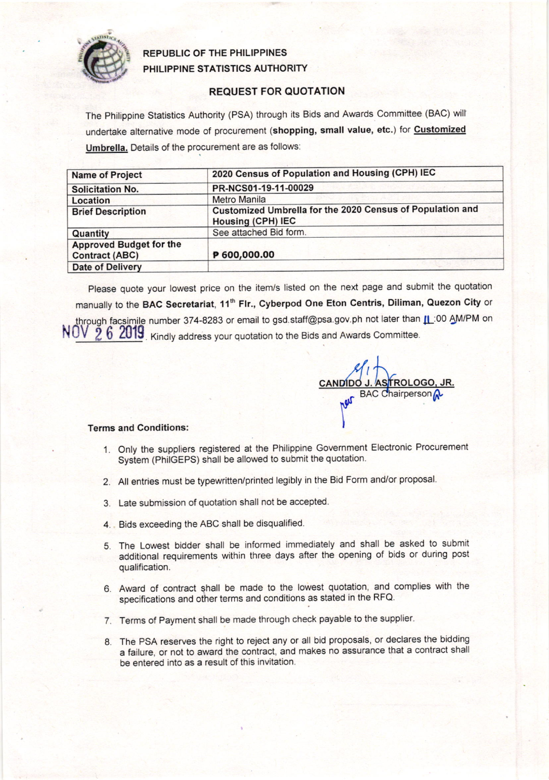

## REPUBLIC OF THE PHILIPPINES PHILIPPINE STATISTICS AUTHORITY

## REQUEST FOR QUOTATION

The Philippine Statistics Authority (PSA) through its Bids and Awards Committee (BAC) will undertake alternative mode of procurement (shopping, small value, etc.) for Customized Umbrella. Details of the procurement are as follows:

| <b>Name of Project</b>                                  | 2020 Census of Population and Housing (CPH) IEC                                |  |  |  |
|---------------------------------------------------------|--------------------------------------------------------------------------------|--|--|--|
| <b>Solicitation No.</b>                                 | PR-NCS01-19-11-00029                                                           |  |  |  |
| Location                                                | <b>Metro Manila</b>                                                            |  |  |  |
| <b>Brief Description</b>                                | Customized Umbrella for the 2020 Census of Population and<br>Housing (CPH) IEC |  |  |  |
| Quantity                                                | See attached Bid form.                                                         |  |  |  |
| <b>Approved Budget for the</b><br><b>Contract (ABC)</b> | P 600,000.00                                                                   |  |  |  |
| <b>Date of Delivery</b>                                 |                                                                                |  |  |  |

Please quote your lowest price on the item/s listed on the next page and submit the quotation manually to the BAC Secretariat, 11<sup>th</sup> Flr., Cyberpod One Eton Centris, Diliman, Quezon City or through facsimile number 374-8283 or email to gsd.staff@psa.gov.ph not later than **IL**:00 AM/PM on  $\text{NOV}$   $\bar{2}$   $6$   $\text{2019}$ . Kindly address your quotation to the Bids and Awards Committee

 $\mathcal{A}_l$ CANDIDO J. ASTROLOGO **BAC Chairperson Lon** 

## Terms and Conditions:

- 1. Only the suppliers registered at the Philippine Government Electronic Procurement System (PhilGEPS) shall be allowed to submit the quotation.
- 2. All entries must be typewritten/printed legibly in the Bid Form and/or proposal'
- 3. Late submission of quotation shall not be accepted
- 4. Bids exceeding the ABC shall be disqualified.
- 5. The Lowest bidder shall be informed immediately and shall be asked to submit additional requirements within three days after the opening of bids or during post qualification.
- 6. Award of contract shall be made to the lowest quotation, and complies with the specifications and other terms and conditions as stated in the RFQ.
- 7. Terms of Payment shall be made through check payable to the supplier.
- 8. The PSA reserves the right to reject any or all bid proposals, or declares the bidding a failure, or not to award the contract, and makes no assurance that a contract shall be entered into as a result of this invitation.